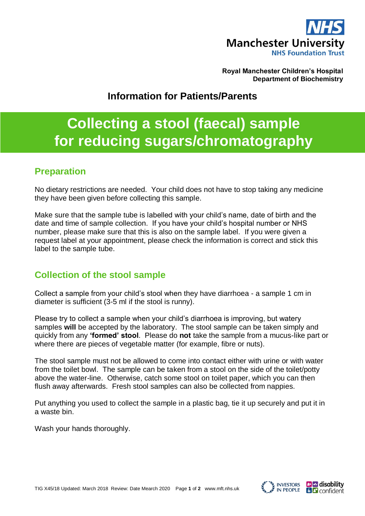

**Royal Manchester Children's Hospital Department of Biochemistry**

## **Information for Patients/Parents**

# **Collecting a stool (faecal) sample for reducing sugars/chromatography**

## **Preparation**

No dietary restrictions are needed. Your child does not have to stop taking any medicine they have been given before collecting this sample.

Make sure that the sample tube is labelled with your child's name, date of birth and the date and time of sample collection. If you have your child's hospital number or NHS number, please make sure that this is also on the sample label. If you were given a request label at your appointment, please check the information is correct and stick this label to the sample tube.

#### **Collection of the stool sample**

Collect a sample from your child's stool when they have diarrhoea - a sample 1 cm in diameter is sufficient (3-5 ml if the stool is runny).

Please try to collect a sample when your child's diarrhoea is improving, but watery samples **will** be accepted by the laboratory. The stool sample can be taken simply and quickly from any **'formed' stool**. Please do **not** take the sample from a mucus-like part or where there are pieces of vegetable matter (for example, fibre or nuts).

The stool sample must not be allowed to come into contact either with urine or with water from the toilet bowl. The sample can be taken from a stool on the side of the toilet/potty above the water-line. Otherwise, catch some stool on toilet paper, which you can then flush away afterwards. Fresh stool samples can also be collected from nappies.

Put anything you used to collect the sample in a plastic bag, tie it up securely and put it in a waste bin.

Wash your hands thoroughly.